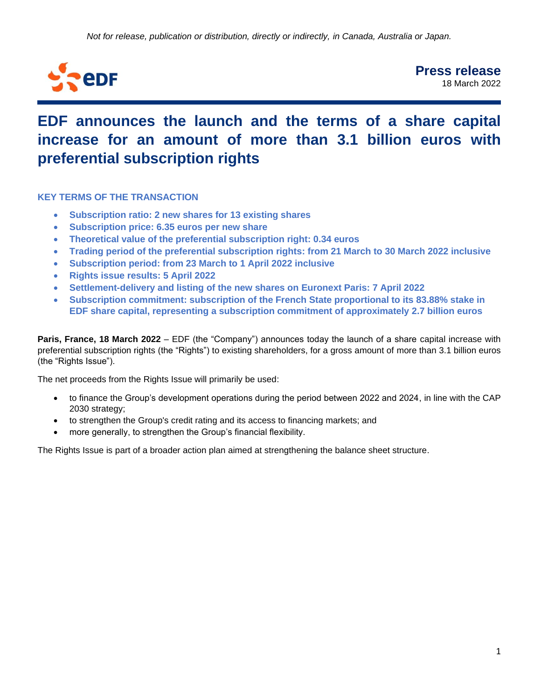

# **EDF announces the launch and the terms of a share capital increase for an amount of more than 3.1 billion euros with preferential subscription rights**

**KEY TERMS OF THE TRANSACTION**

- **Subscription ratio: 2 new shares for 13 existing shares**
- **Subscription price: 6.35 euros per new share**
- **Theoretical value of the preferential subscription right: 0.34 euros**
- **Trading period of the preferential subscription rights: from 21 March to 30 March 2022 inclusive**
- **Subscription period: from 23 March to 1 April 2022 inclusive**
- **Rights issue results: 5 April 2022**
- **Settlement-delivery and listing of the new shares on Euronext Paris: 7 April 2022**
- **Subscription commitment: subscription of the French State proportional to its 83.88% stake in EDF share capital, representing a subscription commitment of approximately 2.7 billion euros**

**Paris, France, 18 March 2022** – EDF (the "Company") announces today the launch of a share capital increase with preferential subscription rights (the "Rights") to existing shareholders, for a gross amount of more than 3.1 billion euros (the "Rights Issue").

The net proceeds from the Rights Issue will primarily be used:

- to finance the Group's development operations during the period between 2022 and 2024, in line with the CAP 2030 strategy;
- to strengthen the Group's credit rating and its access to financing markets; and
- more generally, to strengthen the Group's financial flexibility.

The Rights Issue is part of a broader action plan aimed at strengthening the balance sheet structure.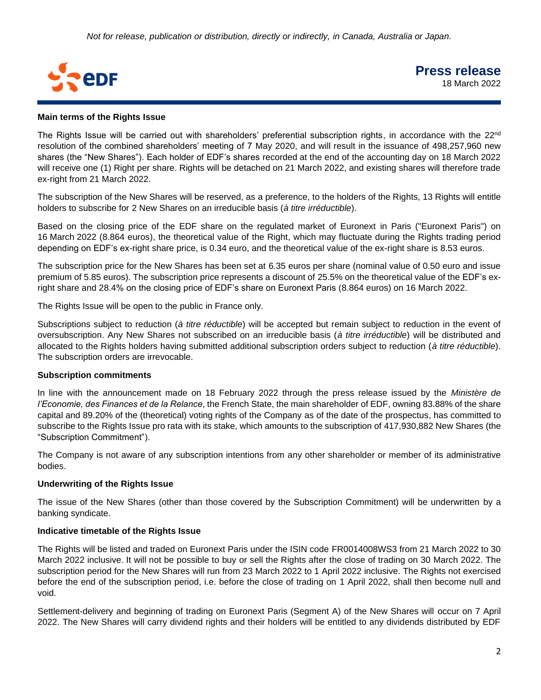

## **Main terms of the Rights Issue**

The Rights Issue will be carried out with shareholders' preferential subscription rights, in accordance with the 22<sup>nd</sup> resolution of the combined shareholders' meeting of 7 May 2020, and will result in the issuance of 498,257,960 new shares (the "New Shares"). Each holder of EDF's shares recorded at the end of the accounting day on 18 March 2022 will receive one (1) Right per share. Rights will be detached on 21 March 2022, and existing shares will therefore trade ex-right from 21 March 2022.

The subscription of the New Shares will be reserved, as a preference, to the holders of the Rights, 13 Rights will entitle holders to subscribe for 2 New Shares on an irreducible basis (*à titre irréductible*).

Based on the closing price of the EDF share on the regulated market of Euronext in Paris ("Euronext Paris") on 16 March 2022 (8.864 euros), the theoretical value of the Right, which may fluctuate during the Rights trading period depending on EDF's ex-right share price, is 0.34 euro, and the theoretical value of the ex-right share is 8.53 euros.

The subscription price for the New Shares has been set at 6.35 euros per share (nominal value of 0.50 euro and issue premium of 5.85 euros). The subscription price represents a discount of 25.5% on the theoretical value of the EDF's exright share and 28.4% on the closing price of EDF's share on Euronext Paris (8.864 euros) on 16 March 2022.

The Rights Issue will be open to the public in France only.

Subscriptions subject to reduction (*à titre réductible*) will be accepted but remain subject to reduction in the event of oversubscription. Any New Shares not subscribed on an irreducible basis (*à titre irréductible*) will be distributed and allocated to the Rights holders having submitted additional subscription orders subject to reduction (*à titre réductible*). The subscription orders are irrevocable.

### **Subscription commitments**

In line with the announcement made on 18 February 2022 through the press release issued by the *Ministère de l'Economie, des Finances et de la Relance*, the French State, the main shareholder of EDF, owning 83.88% of the share capital and 89.20% of the (theoretical) voting rights of the Company as of the date of the prospectus, has committed to subscribe to the Rights Issue pro rata with its stake, which amounts to the subscription of 417,930,882 New Shares (the "Subscription Commitment").

The Company is not aware of any subscription intentions from any other shareholder or member of its administrative bodies.

# **Underwriting of the Rights Issue**

The issue of the New Shares (other than those covered by the Subscription Commitment) will be underwritten by a banking syndicate.

## **Indicative timetable of the Rights Issue**

The Rights will be listed and traded on Euronext Paris under the ISIN code FR0014008WS3 from 21 March 2022 to 30 March 2022 inclusive. It will not be possible to buy or sell the Rights after the close of trading on 30 March 2022. The subscription period for the New Shares will run from 23 March 2022 to 1 April 2022 inclusive. The Rights not exercised before the end of the subscription period, i.e. before the close of trading on 1 April 2022, shall then become null and void.

Settlement-delivery and beginning of trading on Euronext Paris (Segment A) of the New Shares will occur on 7 April 2022. The New Shares will carry dividend rights and their holders will be entitled to any dividends distributed by EDF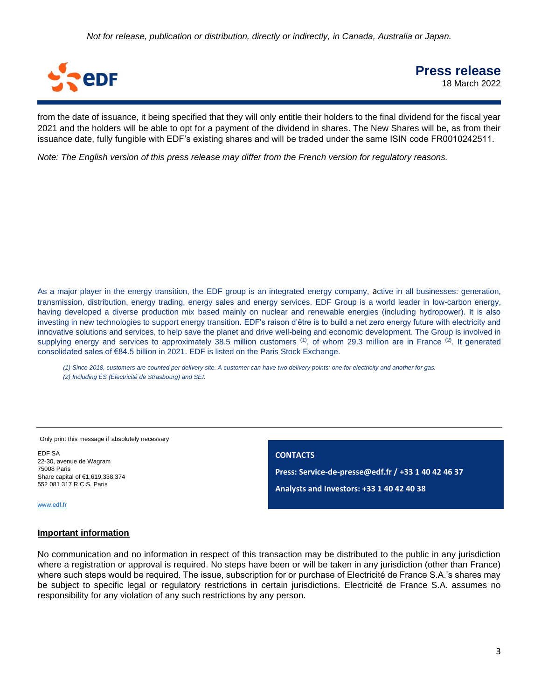*Not for release, publication or distribution, directly or indirectly, in Canada, Australia or Japan.*



**Press release** 18 March 2022

from the date of issuance, it being specified that they will only entitle their holders to the final dividend for the fiscal year 2021 and the holders will be able to opt for a payment of the dividend in shares. The New Shares will be, as from their issuance date, fully fungible with EDF's existing shares and will be traded under the same ISIN code FR0010242511.

*Note: The English version of this press release may differ from the French version for regulatory reasons.* 

As a major player in the energy transition, the EDF group is an integrated energy company, active in all businesses: generation, transmission, distribution, energy trading, energy sales and energy services. EDF Group is a world leader in low-carbon energy, having developed a diverse production mix based mainly on nuclear and renewable energies (including hydropower). It is also investing in new technologies to support energy transition. EDF's raison d'être is to build a net zero energy future with electricity and innovative solutions and services, to help save the planet and drive well-being and economic development. The Group is involved in supplying energy and services to approximately 38.5 million customers <sup>(1)</sup>, of whom 29.3 million are in France <sup>(2)</sup>. It generated consolidated sales of €84.5 billion in 2021. EDF is listed on the Paris Stock Exchange.

*(1) Since 2018, customers are counted per delivery site. A customer can have two delivery points: one for electricity and another for gas. (2) Including ÉS (Électricité de Strasbourg) and SEI.*

Only print this message if absolutely necessary

EDF SA 22-30, avenue de Wagram 75008 Paris Share capital of €1,619,338,374 552 081 317 R.C.S. Paris

**CONTACTS Press: Service-de-presse@edf.fr / +33 1 40 42 46 37 Analysts and Investors: +33 1 40 42 40 38**

[www.edf.fr](http://www.edf.fr/)

#### **Important information**

No communication and no information in respect of this transaction may be distributed to the public in any jurisdiction where a registration or approval is required. No steps have been or will be taken in any jurisdiction (other than France) where such steps would be required. The issue, subscription for or purchase of Electricité de France S.A.'s shares may be subject to specific legal or regulatory restrictions in certain jurisdictions. Electricité de France S.A. assumes no responsibility for any violation of any such restrictions by any person.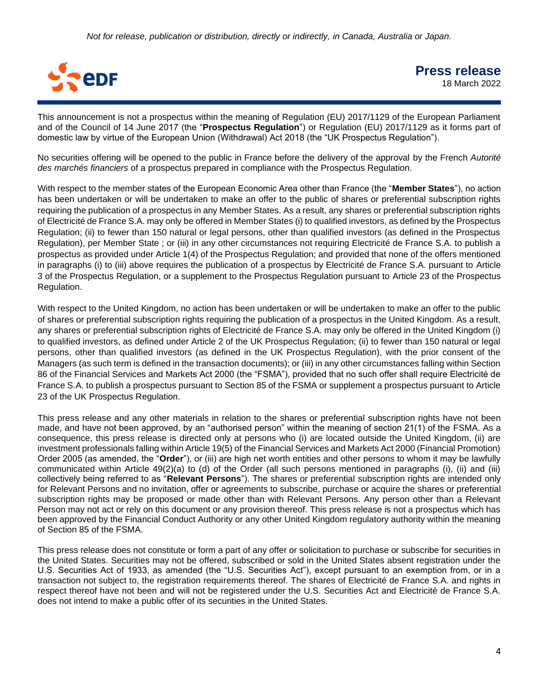

This announcement is not a prospectus within the meaning of Regulation (EU) 2017/1129 of the European Parliament and of the Council of 14 June 2017 (the "**Prospectus Regulation**") or Regulation (EU) 2017/1129 as it forms part of domestic law by virtue of the European Union (Withdrawal) Act 2018 (the "UK Prospectus Regulation").

No securities offering will be opened to the public in France before the delivery of the approval by the French *Autorité des marchés financiers* of a prospectus prepared in compliance with the Prospectus Regulation.

With respect to the member states of the European Economic Area other than France (the "**Member States**"), no action has been undertaken or will be undertaken to make an offer to the public of shares or preferential subscription rights requiring the publication of a prospectus in any Member States. As a result, any shares or preferential subscription rights of Electricité de France S.A. may only be offered in Member States (i) to qualified investors, as defined by the Prospectus Regulation; (ii) to fewer than 150 natural or legal persons, other than qualified investors (as defined in the Prospectus Regulation), per Member State ; or (iii) in any other circumstances not requiring Electricité de France S.A. to publish a prospectus as provided under Article 1(4) of the Prospectus Regulation; and provided that none of the offers mentioned in paragraphs (i) to (iii) above requires the publication of a prospectus by Electricité de France S.A. pursuant to Article 3 of the Prospectus Regulation, or a supplement to the Prospectus Regulation pursuant to Article 23 of the Prospectus Regulation.

With respect to the United Kingdom, no action has been undertaken or will be undertaken to make an offer to the public of shares or preferential subscription rights requiring the publication of a prospectus in the United Kingdom. As a result, any shares or preferential subscription rights of Electricité de France S.A. may only be offered in the United Kingdom (i) to qualified investors, as defined under Article 2 of the UK Prospectus Regulation; (ii) to fewer than 150 natural or legal persons, other than qualified investors (as defined in the UK Prospectus Regulation), with the prior consent of the Managers (as such term is defined in the transaction documents); or (iii) in any other circumstances falling within Section 86 of the Financial Services and Markets Act 2000 (the "FSMA"), provided that no such offer shall require Electricité de France S.A. to publish a prospectus pursuant to Section 85 of the FSMA or supplement a prospectus pursuant to Article 23 of the UK Prospectus Regulation.

This press release and any other materials in relation to the shares or preferential subscription rights have not been made, and have not been approved, by an "authorised person" within the meaning of section 21(1) of the FSMA. As a consequence, this press release is directed only at persons who (i) are located outside the United Kingdom, (ii) are investment professionals falling within Article 19(5) of the Financial Services and Markets Act 2000 (Financial Promotion) Order 2005 (as amended, the "**Order**"), or (iii) are high net worth entities and other persons to whom it may be lawfully communicated within Article 49(2)(a) to (d) of the Order (all such persons mentioned in paragraphs (i), (ii) and (iii) collectively being referred to as "**Relevant Persons**"). The shares or preferential subscription rights are intended only for Relevant Persons and no invitation, offer or agreements to subscribe, purchase or acquire the shares or preferential subscription rights may be proposed or made other than with Relevant Persons. Any person other than a Relevant Person may not act or rely on this document or any provision thereof. This press release is not a prospectus which has been approved by the Financial Conduct Authority or any other United Kingdom regulatory authority within the meaning of Section 85 of the FSMA.

This press release does not constitute or form a part of any offer or solicitation to purchase or subscribe for securities in the United States. Securities may not be offered, subscribed or sold in the United States absent registration under the U.S. Securities Act of 1933, as amended (the "U.S. Securities Act"), except pursuant to an exemption from, or in a transaction not subject to, the registration requirements thereof. The shares of Electricité de France S.A. and rights in respect thereof have not been and will not be registered under the U.S. Securities Act and Electricité de France S.A. does not intend to make a public offer of its securities in the United States.